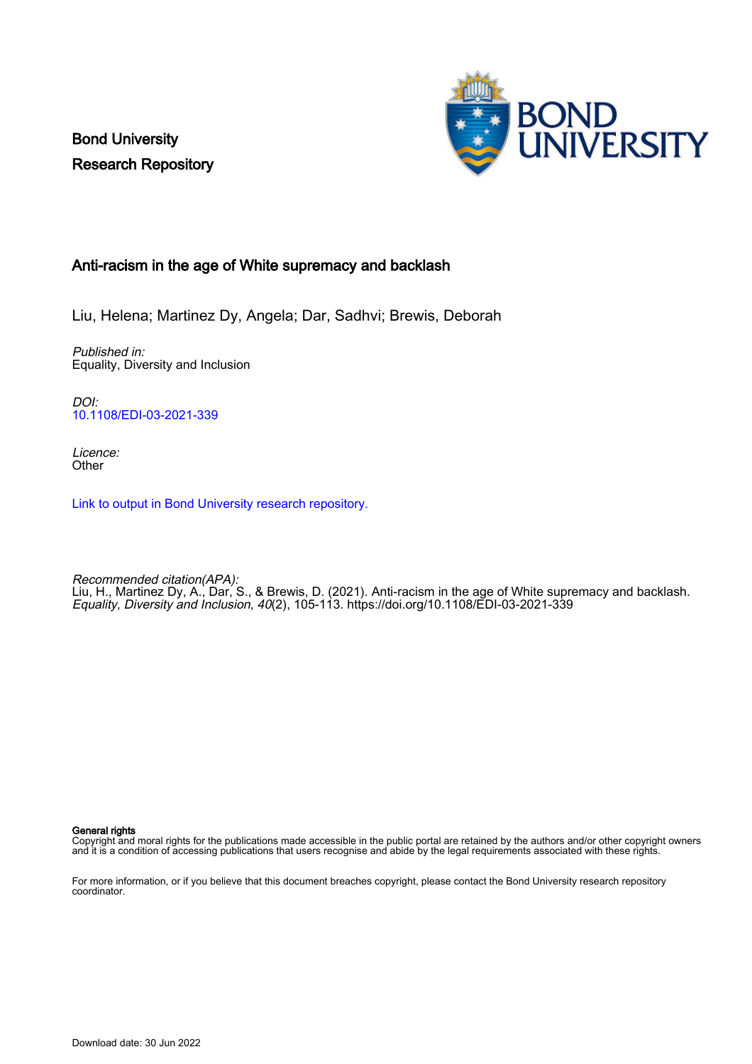Bond University Research Repository



### Anti-racism in the age of White supremacy and backlash

Liu, Helena; Martinez Dy, Angela; Dar, Sadhvi; Brewis, Deborah

Published in: Equality, Diversity and Inclusion

DOI: [10.1108/EDI-03-2021-339](https://doi.org/10.1108/EDI-03-2021-339)

Licence: **Other** 

[Link to output in Bond University research repository.](https://research.bond.edu.au/en/publications/0a7758ba-549e-48b0-9b61-c73b0b0462b2)

Recommended citation(APA): Liu, H., Martinez Dy, A., Dar, S., & Brewis, D. (2021). Anti-racism in the age of White supremacy and backlash. Equality, Diversity and Inclusion, 40(2), 105-113. <https://doi.org/10.1108/EDI-03-2021-339>

General rights

Copyright and moral rights for the publications made accessible in the public portal are retained by the authors and/or other copyright owners and it is a condition of accessing publications that users recognise and abide by the legal requirements associated with these rights.

For more information, or if you believe that this document breaches copyright, please contact the Bond University research repository coordinator.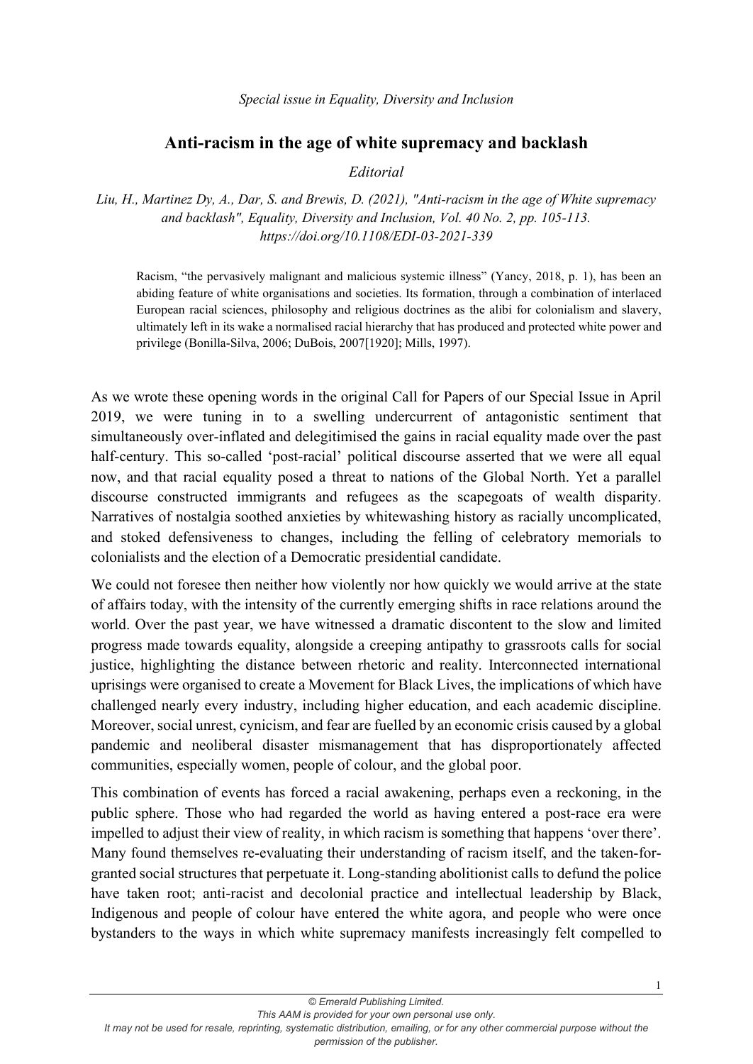#### *Special issue in Equality, Diversity and Inclusion*

### **Anti-racism in the age of white supremacy and backlash**

### *Editorial*

*Liu, H., Martinez Dy, A., Dar, S. and Brewis, D. (2021), "Anti-racism in the age of White supremacy and backlash", Equality, Diversity and Inclusion, Vol. 40 No. 2, pp. 105-113. https://doi.org/10.1108/EDI-03-2021-339*

Racism, "the pervasively malignant and malicious systemic illness" (Yancy, 2018, p. 1), has been an abiding feature of white organisations and societies. Its formation, through a combination of interlaced European racial sciences, philosophy and religious doctrines as the alibi for colonialism and slavery, ultimately left in its wake a normalised racial hierarchy that has produced and protected white power and privilege (Bonilla-Silva, 2006; DuBois, 2007[1920]; Mills, 1997).

As we wrote these opening words in the original Call for Papers of our Special Issue in April 2019, we were tuning in to a swelling undercurrent of antagonistic sentiment that simultaneously over-inflated and delegitimised the gains in racial equality made over the past half-century. This so-called 'post-racial' political discourse asserted that we were all equal now, and that racial equality posed a threat to nations of the Global North. Yet a parallel discourse constructed immigrants and refugees as the scapegoats of wealth disparity. Narratives of nostalgia soothed anxieties by whitewashing history as racially uncomplicated, and stoked defensiveness to changes, including the felling of celebratory memorials to colonialists and the election of a Democratic presidential candidate.

We could not foresee then neither how violently nor how quickly we would arrive at the state of affairs today, with the intensity of the currently emerging shifts in race relations around the world. Over the past year, we have witnessed a dramatic discontent to the slow and limited progress made towards equality, alongside a creeping antipathy to grassroots calls for social justice, highlighting the distance between rhetoric and reality. Interconnected international uprisings were organised to create a Movement for Black Lives, the implications of which have challenged nearly every industry, including higher education, and each academic discipline. Moreover, social unrest, cynicism, and fear are fuelled by an economic crisis caused by a global pandemic and neoliberal disaster mismanagement that has disproportionately affected communities, especially women, people of colour, and the global poor.

This combination of events has forced a racial awakening, perhaps even a reckoning, in the public sphere. Those who had regarded the world as having entered a post-race era were impelled to adjust their view of reality, in which racism is something that happens 'over there'. Many found themselves re-evaluating their understanding of racism itself, and the taken-forgranted social structures that perpetuate it. Long-standing abolitionist calls to defund the police have taken root; anti-racist and decolonial practice and intellectual leadership by Black, Indigenous and people of colour have entered the white agora, and people who were once bystanders to the ways in which white supremacy manifests increasingly felt compelled to

1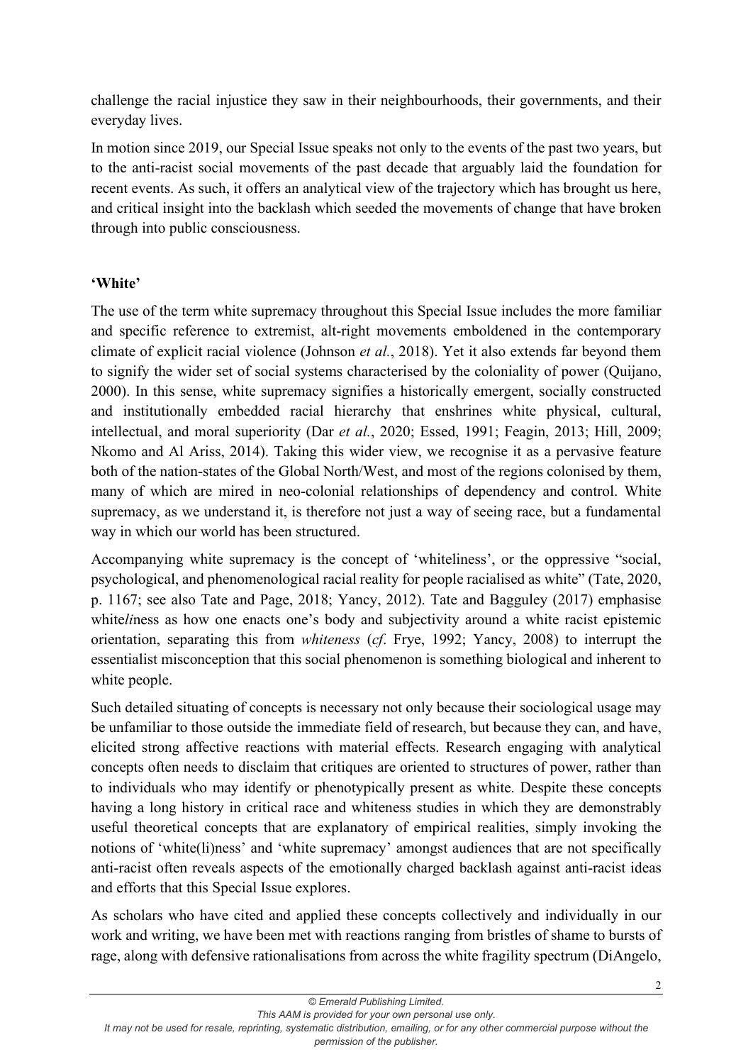challenge the racial injustice they saw in their neighbourhoods, their governments, and their everyday lives.

In motion since 2019, our Special Issue speaks not only to the events of the past two years, but to the anti-racist social movements of the past decade that arguably laid the foundation for recent events. As such, it offers an analytical view of the trajectory which has brought us here, and critical insight into the backlash which seeded the movements of change that have broken through into public consciousness.

# **'White'**

The use of the term white supremacy throughout this Special Issue includes the more familiar and specific reference to extremist, alt-right movements emboldened in the contemporary climate of explicit racial violence (Johnson *et al.*, 2018). Yet it also extends far beyond them to signify the wider set of social systems characterised by the coloniality of power (Quijano, 2000). In this sense, white supremacy signifies a historically emergent, socially constructed and institutionally embedded racial hierarchy that enshrines white physical, cultural, intellectual, and moral superiority (Dar *et al.*, 2020; Essed, 1991; Feagin, 2013; Hill, 2009; Nkomo and Al Ariss, 2014). Taking this wider view, we recognise it as a pervasive feature both of the nation-states of the Global North/West, and most of the regions colonised by them, many of which are mired in neo-colonial relationships of dependency and control. White supremacy, as we understand it, is therefore not just a way of seeing race, but a fundamental way in which our world has been structured.

Accompanying white supremacy is the concept of 'whiteliness', or the oppressive "social, psychological, and phenomenological racial reality for people racialised as white" (Tate, 2020, p. 1167; see also Tate and Page, 2018; Yancy, 2012). Tate and Bagguley (2017) emphasise white*liness* as how one enacts one's body and subjectivity around a white racist epistemic orientation, separating this from *whiteness* (*cf*. Frye, 1992; Yancy, 2008) to interrupt the essentialist misconception that this social phenomenon is something biological and inherent to white people.

Such detailed situating of concepts is necessary not only because their sociological usage may be unfamiliar to those outside the immediate field of research, but because they can, and have, elicited strong affective reactions with material effects. Research engaging with analytical concepts often needs to disclaim that critiques are oriented to structures of power, rather than to individuals who may identify or phenotypically present as white. Despite these concepts having a long history in critical race and whiteness studies in which they are demonstrably useful theoretical concepts that are explanatory of empirical realities, simply invoking the notions of 'white(li)ness' and 'white supremacy' amongst audiences that are not specifically anti-racist often reveals aspects of the emotionally charged backlash against anti-racist ideas and efforts that this Special Issue explores.

As scholars who have cited and applied these concepts collectively and individually in our work and writing, we have been met with reactions ranging from bristles of shame to bursts of rage, along with defensive rationalisations from across the white fragility spectrum (DiAngelo,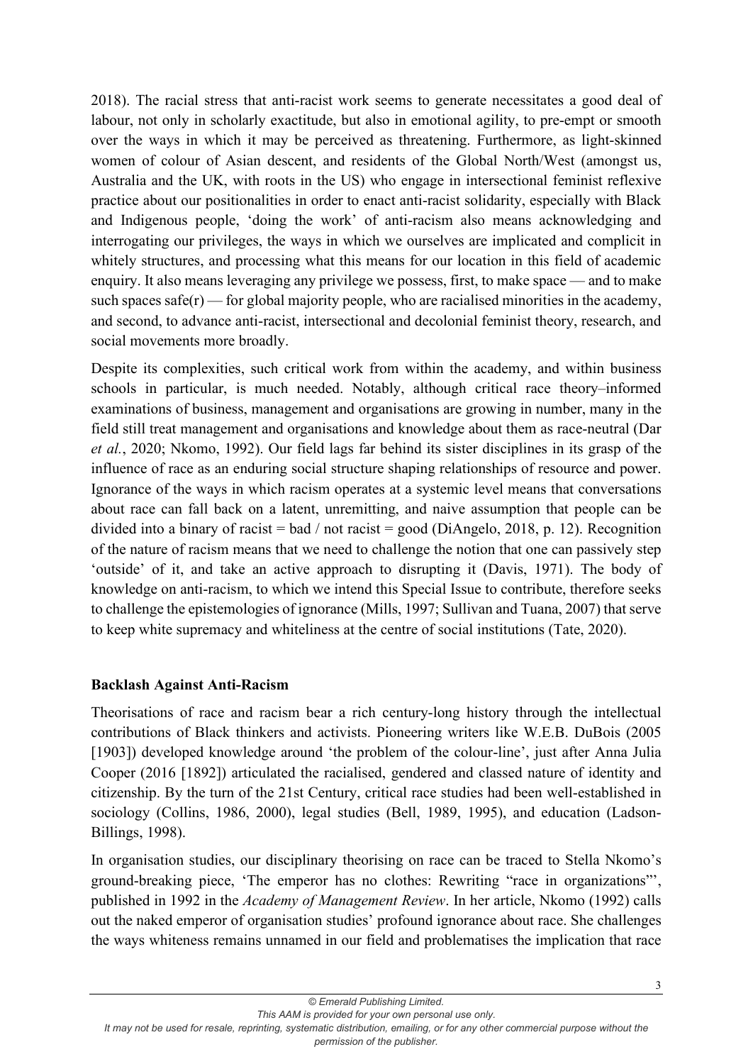2018). The racial stress that anti-racist work seems to generate necessitates a good deal of labour, not only in scholarly exactitude, but also in emotional agility, to pre-empt or smooth over the ways in which it may be perceived as threatening. Furthermore, as light-skinned women of colour of Asian descent, and residents of the Global North/West (amongst us, Australia and the UK, with roots in the US) who engage in intersectional feminist reflexive practice about our positionalities in order to enact anti-racist solidarity, especially with Black and Indigenous people, 'doing the work' of anti-racism also means acknowledging and interrogating our privileges, the ways in which we ourselves are implicated and complicit in whitely structures, and processing what this means for our location in this field of academic enquiry. It also means leveraging any privilege we possess, first, to make space — and to make such spaces safe $(r)$  — for global majority people, who are racialised minorities in the academy, and second, to advance anti-racist, intersectional and decolonial feminist theory, research, and social movements more broadly.

Despite its complexities, such critical work from within the academy, and within business schools in particular, is much needed. Notably, although critical race theory–informed examinations of business, management and organisations are growing in number, many in the field still treat management and organisations and knowledge about them as race-neutral (Dar *et al.*, 2020; Nkomo, 1992). Our field lags far behind its sister disciplines in its grasp of the influence of race as an enduring social structure shaping relationships of resource and power. Ignorance of the ways in which racism operates at a systemic level means that conversations about race can fall back on a latent, unremitting, and naive assumption that people can be divided into a binary of racist = bad / not racist = good (DiAngelo, 2018, p. 12). Recognition of the nature of racism means that we need to challenge the notion that one can passively step 'outside' of it, and take an active approach to disrupting it (Davis, 1971). The body of knowledge on anti-racism, to which we intend this Special Issue to contribute, therefore seeks to challenge the epistemologies of ignorance (Mills, 1997; Sullivan and Tuana, 2007) that serve to keep white supremacy and whiteliness at the centre of social institutions (Tate, 2020).

### **Backlash Against Anti-Racism**

Theorisations of race and racism bear a rich century-long history through the intellectual contributions of Black thinkers and activists. Pioneering writers like W.E.B. DuBois (2005 [1903]) developed knowledge around 'the problem of the colour-line', just after Anna Julia Cooper (2016 [1892]) articulated the racialised, gendered and classed nature of identity and citizenship. By the turn of the 21st Century, critical race studies had been well-established in sociology (Collins, 1986, 2000), legal studies (Bell, 1989, 1995), and education (Ladson-Billings, 1998).

In organisation studies, our disciplinary theorising on race can be traced to Stella Nkomo's ground-breaking piece, 'The emperor has no clothes: Rewriting "race in organizations"', published in 1992 in the *Academy of Management Review*. In her article, Nkomo (1992) calls out the naked emperor of organisation studies' profound ignorance about race. She challenges the ways whiteness remains unnamed in our field and problematises the implication that race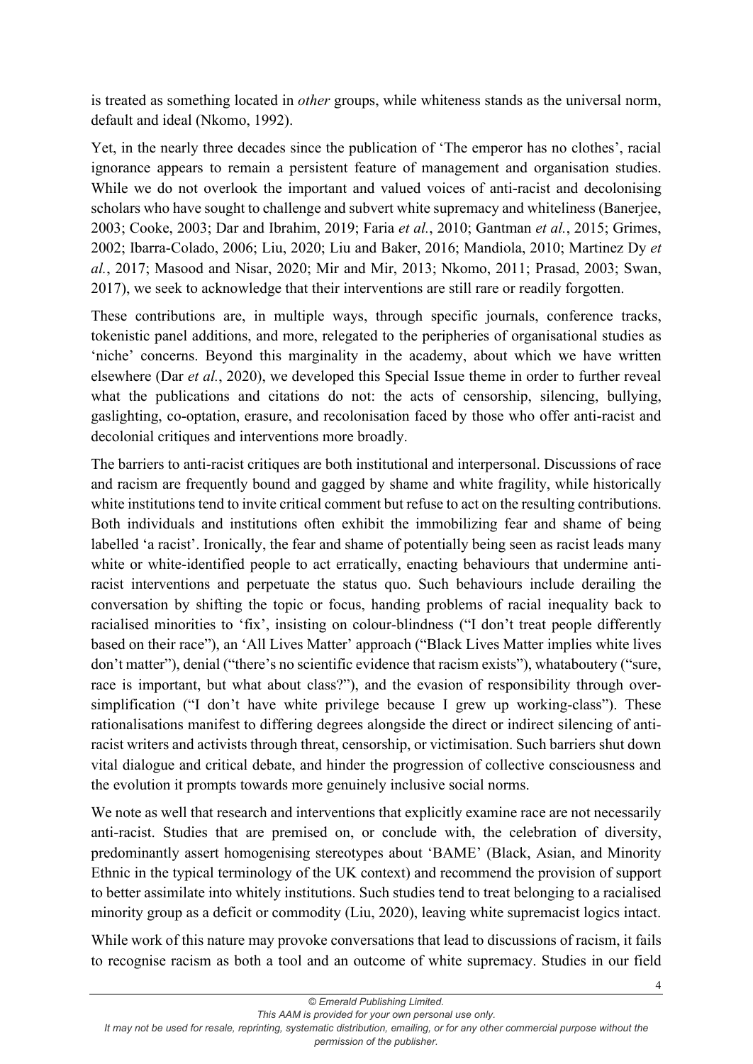is treated as something located in *other* groups, while whiteness stands as the universal norm, default and ideal (Nkomo, 1992).

Yet, in the nearly three decades since the publication of 'The emperor has no clothes', racial ignorance appears to remain a persistent feature of management and organisation studies. While we do not overlook the important and valued voices of anti-racist and decolonising scholars who have sought to challenge and subvert white supremacy and whiteliness (Banerjee, 2003; Cooke, 2003; Dar and Ibrahim, 2019; Faria *et al.*, 2010; Gantman *et al.*, 2015; Grimes, 2002; Ibarra-Colado, 2006; Liu, 2020; Liu and Baker, 2016; Mandiola, 2010; Martinez Dy *et al.*, 2017; Masood and Nisar, 2020; Mir and Mir, 2013; Nkomo, 2011; Prasad, 2003; Swan, 2017), we seek to acknowledge that their interventions are still rare or readily forgotten.

These contributions are, in multiple ways, through specific journals, conference tracks, tokenistic panel additions, and more, relegated to the peripheries of organisational studies as 'niche' concerns. Beyond this marginality in the academy, about which we have written elsewhere (Dar *et al.*, 2020), we developed this Special Issue theme in order to further reveal what the publications and citations do not: the acts of censorship, silencing, bullying, gaslighting, co-optation, erasure, and recolonisation faced by those who offer anti-racist and decolonial critiques and interventions more broadly.

The barriers to anti-racist critiques are both institutional and interpersonal. Discussions of race and racism are frequently bound and gagged by shame and white fragility, while historically white institutions tend to invite critical comment but refuse to act on the resulting contributions. Both individuals and institutions often exhibit the immobilizing fear and shame of being labelled 'a racist'. Ironically, the fear and shame of potentially being seen as racist leads many white or white-identified people to act erratically, enacting behaviours that undermine antiracist interventions and perpetuate the status quo. Such behaviours include derailing the conversation by shifting the topic or focus, handing problems of racial inequality back to racialised minorities to 'fix', insisting on colour-blindness ("I don't treat people differently based on their race"), an 'All Lives Matter' approach ("Black Lives Matter implies white lives don't matter"), denial ("there's no scientific evidence that racism exists"), whataboutery ("sure, race is important, but what about class?"), and the evasion of responsibility through oversimplification ("I don't have white privilege because I grew up working-class"). These rationalisations manifest to differing degrees alongside the direct or indirect silencing of antiracist writers and activists through threat, censorship, or victimisation. Such barriers shut down vital dialogue and critical debate, and hinder the progression of collective consciousness and the evolution it prompts towards more genuinely inclusive social norms.

We note as well that research and interventions that explicitly examine race are not necessarily anti-racist. Studies that are premised on, or conclude with, the celebration of diversity, predominantly assert homogenising stereotypes about 'BAME' (Black, Asian, and Minority Ethnic in the typical terminology of the UK context) and recommend the provision of support to better assimilate into whitely institutions. Such studies tend to treat belonging to a racialised minority group as a deficit or commodity (Liu, 2020), leaving white supremacist logics intact.

While work of this nature may provoke conversations that lead to discussions of racism, it fails to recognise racism as both a tool and an outcome of white supremacy. Studies in our field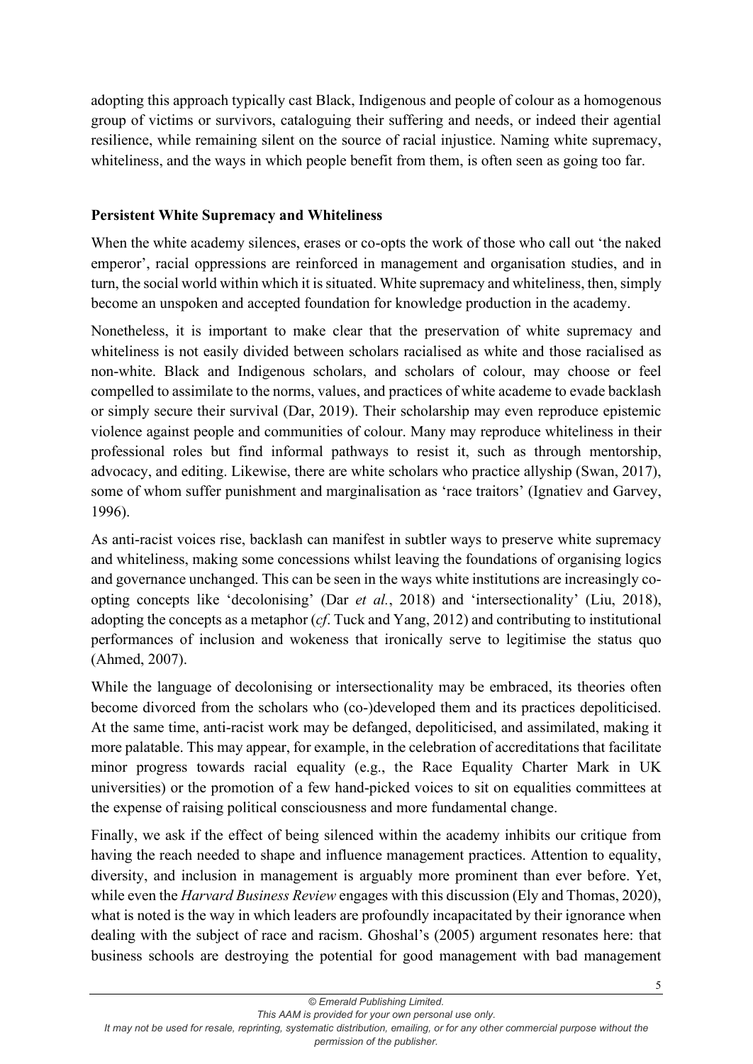adopting this approach typically cast Black, Indigenous and people of colour as a homogenous group of victims or survivors, cataloguing their suffering and needs, or indeed their agential resilience, while remaining silent on the source of racial injustice. Naming white supremacy, whiteliness, and the ways in which people benefit from them, is often seen as going too far.

## **Persistent White Supremacy and Whiteliness**

When the white academy silences, erases or co-opts the work of those who call out 'the naked emperor', racial oppressions are reinforced in management and organisation studies, and in turn, the social world within which it is situated. White supremacy and whiteliness, then, simply become an unspoken and accepted foundation for knowledge production in the academy.

Nonetheless, it is important to make clear that the preservation of white supremacy and whiteliness is not easily divided between scholars racialised as white and those racialised as non-white. Black and Indigenous scholars, and scholars of colour, may choose or feel compelled to assimilate to the norms, values, and practices of white academe to evade backlash or simply secure their survival (Dar, 2019). Their scholarship may even reproduce epistemic violence against people and communities of colour. Many may reproduce whiteliness in their professional roles but find informal pathways to resist it, such as through mentorship, advocacy, and editing. Likewise, there are white scholars who practice allyship (Swan, 2017), some of whom suffer punishment and marginalisation as 'race traitors' (Ignatiev and Garvey, 1996).

As anti-racist voices rise, backlash can manifest in subtler ways to preserve white supremacy and whiteliness, making some concessions whilst leaving the foundations of organising logics and governance unchanged. This can be seen in the ways white institutions are increasingly coopting concepts like 'decolonising' (Dar *et al.*, 2018) and 'intersectionality' (Liu, 2018), adopting the concepts as a metaphor (*cf*. Tuck and Yang, 2012) and contributing to institutional performances of inclusion and wokeness that ironically serve to legitimise the status quo (Ahmed, 2007).

While the language of decolonising or intersectionality may be embraced, its theories often become divorced from the scholars who (co-)developed them and its practices depoliticised. At the same time, anti-racist work may be defanged, depoliticised, and assimilated, making it more palatable. This may appear, for example, in the celebration of accreditations that facilitate minor progress towards racial equality (e.g., the Race Equality Charter Mark in UK universities) or the promotion of a few hand-picked voices to sit on equalities committees at the expense of raising political consciousness and more fundamental change.

Finally, we ask if the effect of being silenced within the academy inhibits our critique from having the reach needed to shape and influence management practices. Attention to equality, diversity, and inclusion in management is arguably more prominent than ever before. Yet, while even the *Harvard Business Review* engages with this discussion (Ely and Thomas, 2020), what is noted is the way in which leaders are profoundly incapacitated by their ignorance when dealing with the subject of race and racism. Ghoshal's (2005) argument resonates here: that business schools are destroying the potential for good management with bad management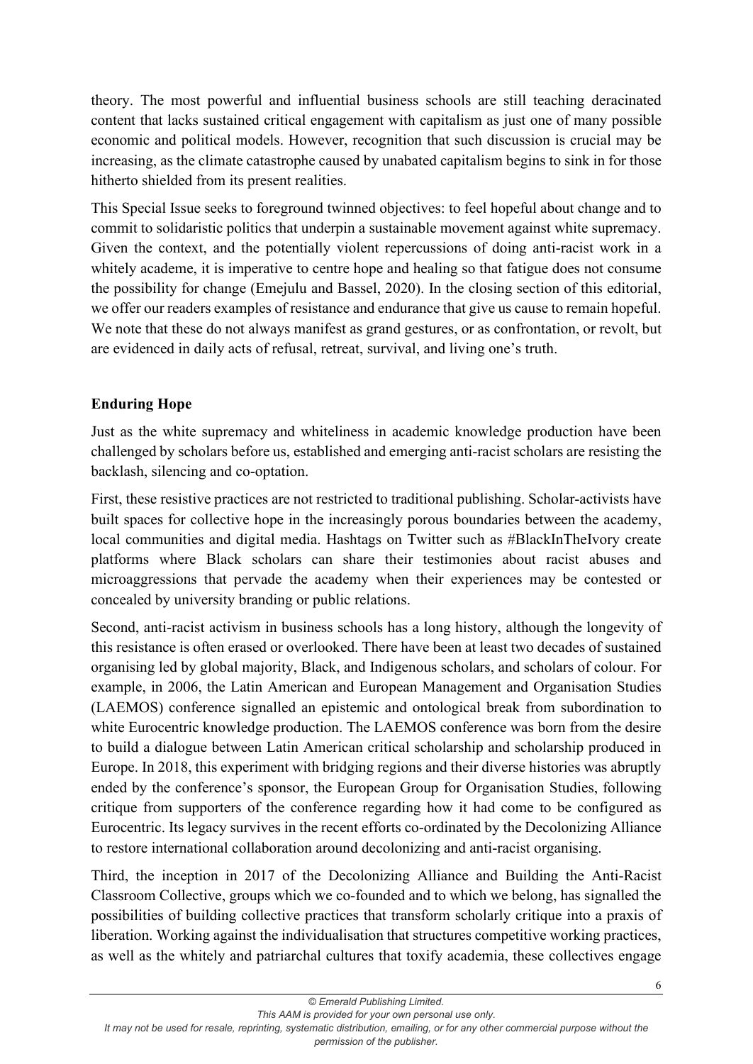theory. The most powerful and influential business schools are still teaching deracinated content that lacks sustained critical engagement with capitalism as just one of many possible economic and political models. However, recognition that such discussion is crucial may be increasing, as the climate catastrophe caused by unabated capitalism begins to sink in for those hitherto shielded from its present realities.

This Special Issue seeks to foreground twinned objectives: to feel hopeful about change and to commit to solidaristic politics that underpin a sustainable movement against white supremacy. Given the context, and the potentially violent repercussions of doing anti-racist work in a whitely academe, it is imperative to centre hope and healing so that fatigue does not consume the possibility for change (Emejulu and Bassel, 2020). In the closing section of this editorial, we offer our readers examples of resistance and endurance that give us cause to remain hopeful. We note that these do not always manifest as grand gestures, or as confrontation, or revolt, but are evidenced in daily acts of refusal, retreat, survival, and living one's truth.

# **Enduring Hope**

Just as the white supremacy and whiteliness in academic knowledge production have been challenged by scholars before us, established and emerging anti-racist scholars are resisting the backlash, silencing and co-optation.

First, these resistive practices are not restricted to traditional publishing. Scholar-activists have built spaces for collective hope in the increasingly porous boundaries between the academy, local communities and digital media. Hashtags on Twitter such as #BlackInTheIvory create platforms where Black scholars can share their testimonies about racist abuses and microaggressions that pervade the academy when their experiences may be contested or concealed by university branding or public relations.

Second, anti-racist activism in business schools has a long history, although the longevity of this resistance is often erased or overlooked. There have been at least two decades of sustained organising led by global majority, Black, and Indigenous scholars, and scholars of colour. For example, in 2006, the Latin American and European Management and Organisation Studies (LAEMOS) conference signalled an epistemic and ontological break from subordination to white Eurocentric knowledge production. The LAEMOS conference was born from the desire to build a dialogue between Latin American critical scholarship and scholarship produced in Europe. In 2018, this experiment with bridging regions and their diverse histories was abruptly ended by the conference's sponsor, the European Group for Organisation Studies, following critique from supporters of the conference regarding how it had come to be configured as Eurocentric. Its legacy survives in the recent efforts co-ordinated by the Decolonizing Alliance to restore international collaboration around decolonizing and anti-racist organising.

Third, the inception in 2017 of the Decolonizing Alliance and Building the Anti-Racist Classroom Collective, groups which we co-founded and to which we belong, has signalled the possibilities of building collective practices that transform scholarly critique into a praxis of liberation. Working against the individualisation that structures competitive working practices, as well as the whitely and patriarchal cultures that toxify academia, these collectives engage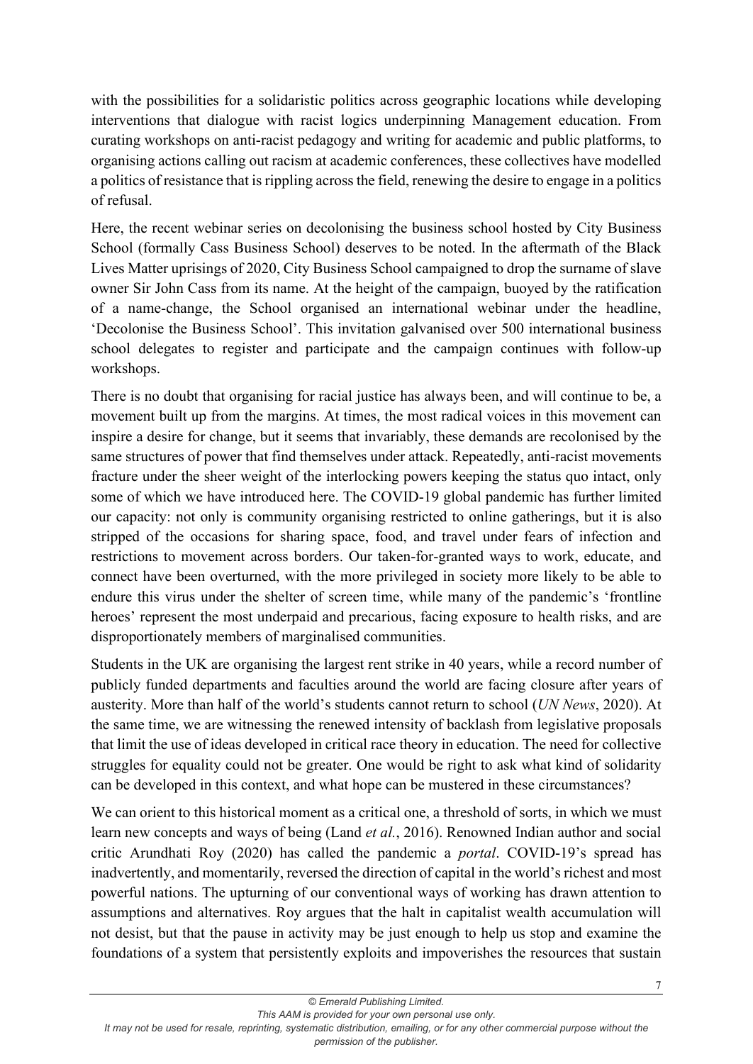with the possibilities for a solidaristic politics across geographic locations while developing interventions that dialogue with racist logics underpinning Management education. From curating workshops on anti-racist pedagogy and writing for academic and public platforms, to organising actions calling out racism at academic conferences, these collectives have modelled a politics of resistance that is rippling across the field, renewing the desire to engage in a politics of refusal.

Here, the recent webinar series on decolonising the business school hosted by City Business School (formally Cass Business School) deserves to be noted. In the aftermath of the Black Lives Matter uprisings of 2020, City Business School campaigned to drop the surname of slave owner Sir John Cass from its name. At the height of the campaign, buoyed by the ratification of a name-change, the School organised an international webinar under the headline, 'Decolonise the Business School'. This invitation galvanised over 500 international business school delegates to register and participate and the campaign continues with follow-up workshops.

There is no doubt that organising for racial justice has always been, and will continue to be, a movement built up from the margins. At times, the most radical voices in this movement can inspire a desire for change, but it seems that invariably, these demands are recolonised by the same structures of power that find themselves under attack. Repeatedly, anti-racist movements fracture under the sheer weight of the interlocking powers keeping the status quo intact, only some of which we have introduced here. The COVID-19 global pandemic has further limited our capacity: not only is community organising restricted to online gatherings, but it is also stripped of the occasions for sharing space, food, and travel under fears of infection and restrictions to movement across borders. Our taken-for-granted ways to work, educate, and connect have been overturned, with the more privileged in society more likely to be able to endure this virus under the shelter of screen time, while many of the pandemic's 'frontline heroes' represent the most underpaid and precarious, facing exposure to health risks, and are disproportionately members of marginalised communities.

Students in the UK are organising the largest rent strike in 40 years, while a record number of publicly funded departments and faculties around the world are facing closure after years of austerity. More than half of the world's students cannot return to school (*UN News*, 2020). At the same time, we are witnessing the renewed intensity of backlash from legislative proposals that limit the use of ideas developed in critical race theory in education. The need for collective struggles for equality could not be greater. One would be right to ask what kind of solidarity can be developed in this context, and what hope can be mustered in these circumstances?

We can orient to this historical moment as a critical one, a threshold of sorts, in which we must learn new concepts and ways of being (Land *et al.*, 2016). Renowned Indian author and social critic Arundhati Roy (2020) has called the pandemic a *portal*. COVID-19's spread has inadvertently, and momentarily, reversed the direction of capital in the world's richest and most powerful nations. The upturning of our conventional ways of working has drawn attention to assumptions and alternatives. Roy argues that the halt in capitalist wealth accumulation will not desist, but that the pause in activity may be just enough to help us stop and examine the foundations of a system that persistently exploits and impoverishes the resources that sustain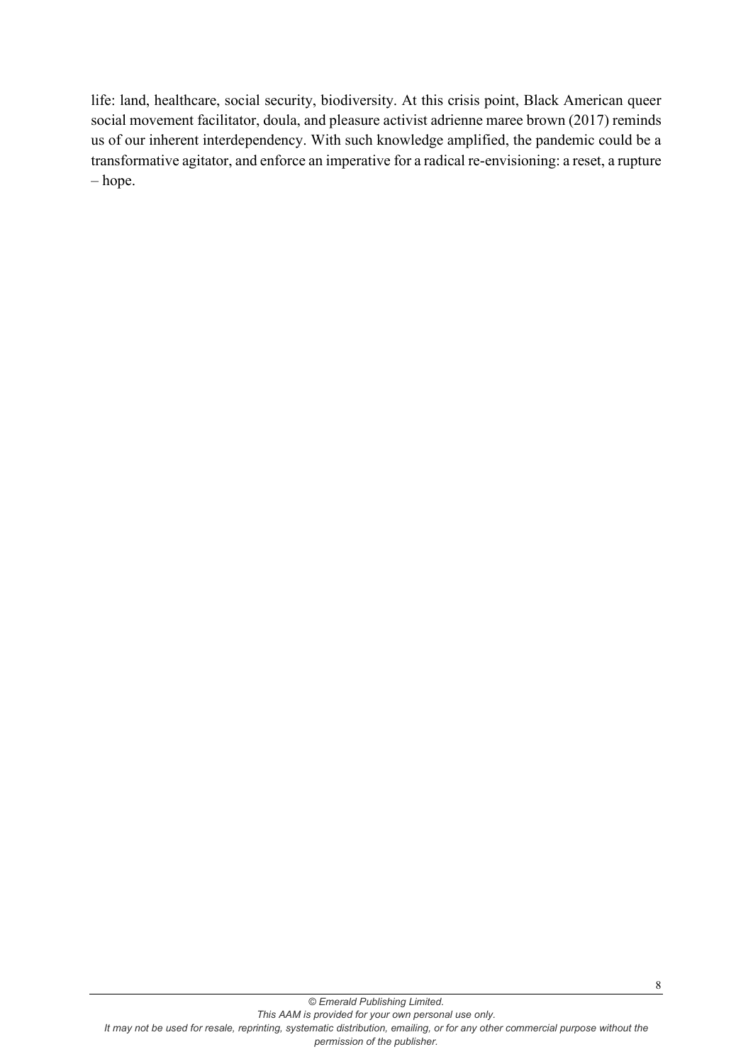life: land, healthcare, social security, biodiversity. At this crisis point, Black American queer social movement facilitator, doula, and pleasure activist adrienne maree brown (2017) reminds us of our inherent interdependency. With such knowledge amplified, the pandemic could be a transformative agitator, and enforce an imperative for a radical re-envisioning: a reset, a rupture – hope.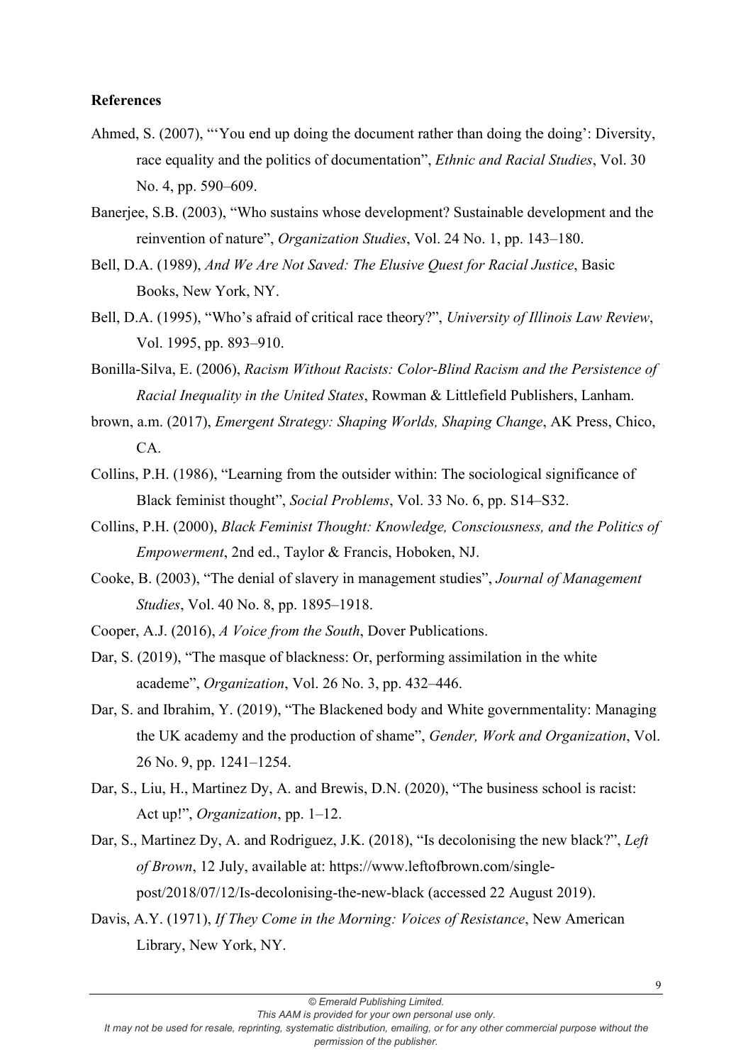#### **References**

- Ahmed, S. (2007), "'You end up doing the document rather than doing the doing': Diversity, race equality and the politics of documentation", *Ethnic and Racial Studies*, Vol. 30 No. 4, pp. 590–609.
- Banerjee, S.B. (2003), "Who sustains whose development? Sustainable development and the reinvention of nature", *Organization Studies*, Vol. 24 No. 1, pp. 143–180.
- Bell, D.A. (1989), *And We Are Not Saved: The Elusive Quest for Racial Justice*, Basic Books, New York, NY.
- Bell, D.A. (1995), "Who's afraid of critical race theory?", *University of Illinois Law Review*, Vol. 1995, pp. 893–910.
- Bonilla-Silva, E. (2006), *Racism Without Racists: Color-Blind Racism and the Persistence of Racial Inequality in the United States*, Rowman & Littlefield Publishers, Lanham.
- brown, a.m. (2017), *Emergent Strategy: Shaping Worlds, Shaping Change*, AK Press, Chico, CA.
- Collins, P.H. (1986), "Learning from the outsider within: The sociological significance of Black feminist thought", *Social Problems*, Vol. 33 No. 6, pp. S14–S32.
- Collins, P.H. (2000), *Black Feminist Thought: Knowledge, Consciousness, and the Politics of Empowerment*, 2nd ed., Taylor & Francis, Hoboken, NJ.
- Cooke, B. (2003), "The denial of slavery in management studies", *Journal of Management Studies*, Vol. 40 No. 8, pp. 1895–1918.
- Cooper, A.J. (2016), *A Voice from the South*, Dover Publications.
- Dar, S. (2019), "The masque of blackness: Or, performing assimilation in the white academe", *Organization*, Vol. 26 No. 3, pp. 432–446.
- Dar, S. and Ibrahim, Y. (2019), "The Blackened body and White governmentality: Managing the UK academy and the production of shame", *Gender, Work and Organization*, Vol. 26 No. 9, pp. 1241–1254.
- Dar, S., Liu, H., Martinez Dy, A. and Brewis, D.N. (2020), "The business school is racist: Act up!", *Organization*, pp. 1–12.
- Dar, S., Martinez Dy, A. and Rodriguez, J.K. (2018), "Is decolonising the new black?", *Left of Brown*, 12 July, available at: https://www.leftofbrown.com/singlepost/2018/07/12/Is-decolonising-the-new-black (accessed 22 August 2019).
- Davis, A.Y. (1971), *If They Come in the Morning: Voices of Resistance*, New American Library, New York, NY.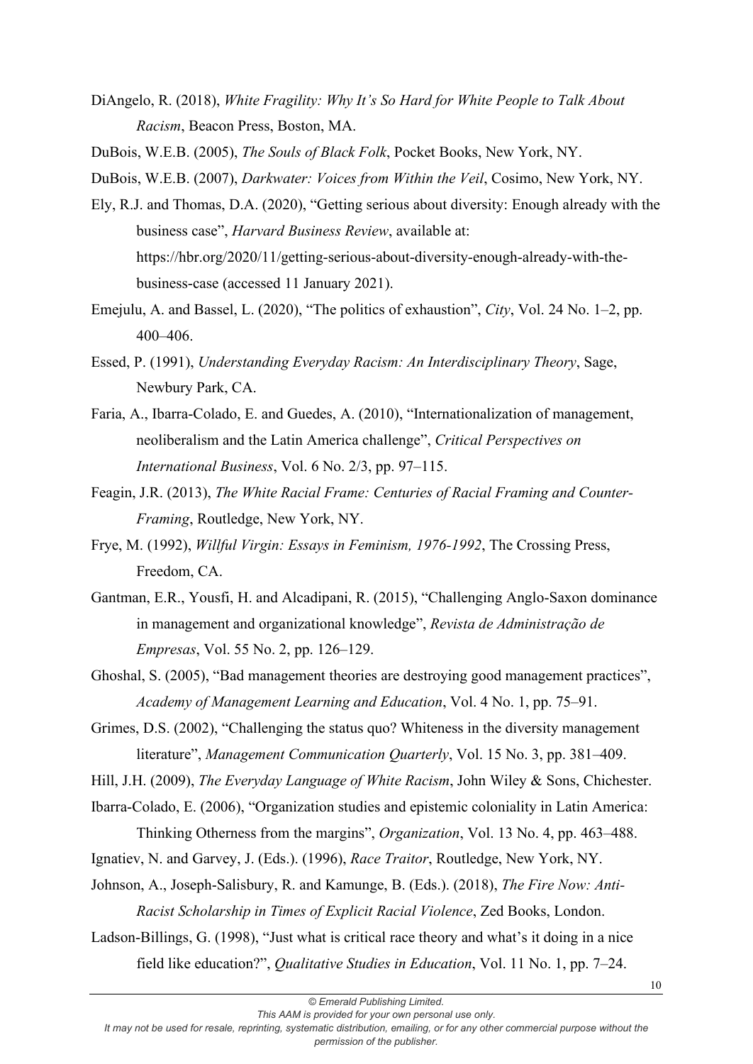DiAngelo, R. (2018), *White Fragility: Why It's So Hard for White People to Talk About Racism*, Beacon Press, Boston, MA.

DuBois, W.E.B. (2005), *The Souls of Black Folk*, Pocket Books, New York, NY.

DuBois, W.E.B. (2007), *Darkwater: Voices from Within the Veil*, Cosimo, New York, NY.

- Ely, R.J. and Thomas, D.A. (2020), "Getting serious about diversity: Enough already with the business case", *Harvard Business Review*, available at: https://hbr.org/2020/11/getting-serious-about-diversity-enough-already-with-thebusiness-case (accessed 11 January 2021).
- Emejulu, A. and Bassel, L. (2020), "The politics of exhaustion", *City*, Vol. 24 No. 1–2, pp. 400–406.
- Essed, P. (1991), *Understanding Everyday Racism: An Interdisciplinary Theory*, Sage, Newbury Park, CA.
- Faria, A., Ibarra-Colado, E. and Guedes, A. (2010), "Internationalization of management, neoliberalism and the Latin America challenge", *Critical Perspectives on International Business*, Vol. 6 No. 2/3, pp. 97–115.
- Feagin, J.R. (2013), *The White Racial Frame: Centuries of Racial Framing and Counter-Framing*, Routledge, New York, NY.
- Frye, M. (1992), *Willful Virgin: Essays in Feminism, 1976-1992*, The Crossing Press, Freedom, CA.
- Gantman, E.R., Yousfi, H. and Alcadipani, R. (2015), "Challenging Anglo-Saxon dominance in management and organizational knowledge", *Revista de Administração de Empresas*, Vol. 55 No. 2, pp. 126–129.
- Ghoshal, S. (2005), "Bad management theories are destroying good management practices", *Academy of Management Learning and Education*, Vol. 4 No. 1, pp. 75–91.
- Grimes, D.S. (2002), "Challenging the status quo? Whiteness in the diversity management literature", *Management Communication Quarterly*, Vol. 15 No. 3, pp. 381–409.
- Hill, J.H. (2009), *The Everyday Language of White Racism*, John Wiley & Sons, Chichester.
- Ibarra-Colado, E. (2006), "Organization studies and epistemic coloniality in Latin America: Thinking Otherness from the margins", *Organization*, Vol. 13 No. 4, pp. 463–488.
- Ignatiev, N. and Garvey, J. (Eds.). (1996), *Race Traitor*, Routledge, New York, NY.
- Johnson, A., Joseph-Salisbury, R. and Kamunge, B. (Eds.). (2018), *The Fire Now: Anti-Racist Scholarship in Times of Explicit Racial Violence*, Zed Books, London.
- Ladson-Billings, G. (1998), "Just what is critical race theory and what's it doing in a nice field like education?", *Qualitative Studies in Education*, Vol. 11 No. 1, pp. 7–24.

*It may not be used for resale, reprinting, systematic distribution, emailing, or for any other commercial purpose without the*

*permission of the publisher.*

*<sup>©</sup> Emerald Publishing Limited.*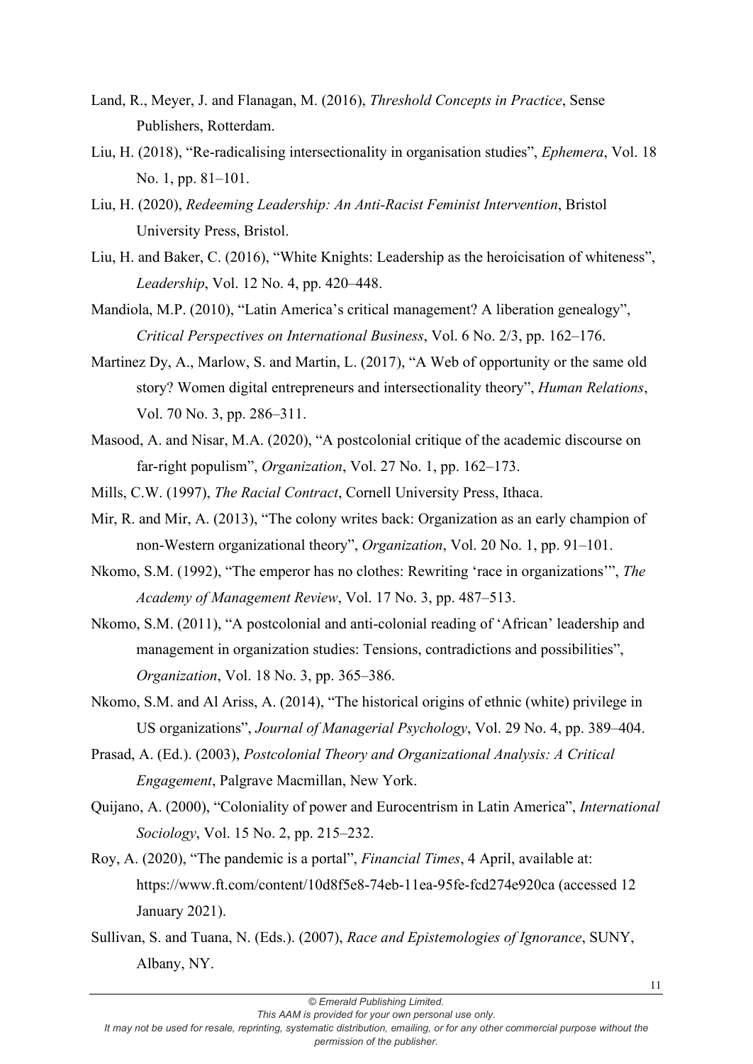- Land, R., Meyer, J. and Flanagan, M. (2016), *Threshold Concepts in Practice*, Sense Publishers, Rotterdam.
- Liu, H. (2018), "Re-radicalising intersectionality in organisation studies", *Ephemera*, Vol. 18 No. 1, pp. 81–101.
- Liu, H. (2020), *Redeeming Leadership: An Anti-Racist Feminist Intervention*, Bristol University Press, Bristol.
- Liu, H. and Baker, C. (2016), "White Knights: Leadership as the heroicisation of whiteness", *Leadership*, Vol. 12 No. 4, pp. 420–448.
- Mandiola, M.P. (2010), "Latin America's critical management? A liberation genealogy", *Critical Perspectives on International Business*, Vol. 6 No. 2/3, pp. 162–176.
- Martinez Dy, A., Marlow, S. and Martin, L. (2017), "A Web of opportunity or the same old story? Women digital entrepreneurs and intersectionality theory", *Human Relations*, Vol. 70 No. 3, pp. 286–311.
- Masood, A. and Nisar, M.A. (2020), "A postcolonial critique of the academic discourse on far-right populism", *Organization*, Vol. 27 No. 1, pp. 162–173.
- Mills, C.W. (1997), *The Racial Contract*, Cornell University Press, Ithaca.
- Mir, R. and Mir, A. (2013), "The colony writes back: Organization as an early champion of non-Western organizational theory", *Organization*, Vol. 20 No. 1, pp. 91–101.
- Nkomo, S.M. (1992), "The emperor has no clothes: Rewriting 'race in organizations'", *The Academy of Management Review*, Vol. 17 No. 3, pp. 487–513.
- Nkomo, S.M. (2011), "A postcolonial and anti-colonial reading of 'African' leadership and management in organization studies: Tensions, contradictions and possibilities", *Organization*, Vol. 18 No. 3, pp. 365–386.
- Nkomo, S.M. and Al Ariss, A. (2014), "The historical origins of ethnic (white) privilege in US organizations", *Journal of Managerial Psychology*, Vol. 29 No. 4, pp. 389–404.
- Prasad, A. (Ed.). (2003), *Postcolonial Theory and Organizational Analysis: A Critical Engagement*, Palgrave Macmillan, New York.
- Quijano, A. (2000), "Coloniality of power and Eurocentrism in Latin America", *International Sociology*, Vol. 15 No. 2, pp. 215–232.
- Roy, A. (2020), "The pandemic is a portal", *Financial Times*, 4 April, available at: https://www.ft.com/content/10d8f5e8-74eb-11ea-95fe-fcd274e920ca (accessed 12 January 2021).
- Sullivan, S. and Tuana, N. (Eds.). (2007), *Race and Epistemologies of Ignorance*, SUNY, Albany, NY.